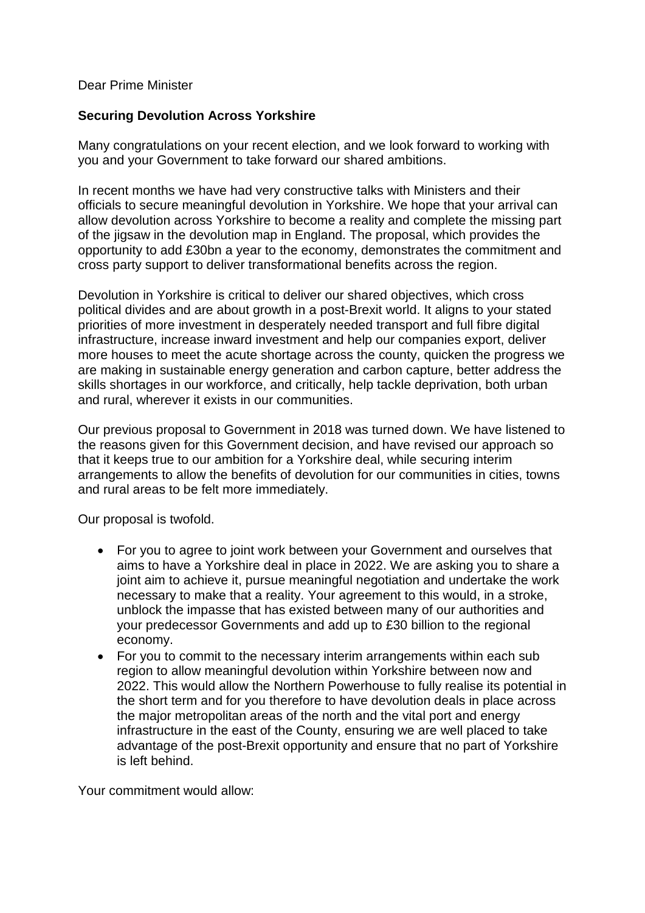## Dear Prime Minister

## **Securing Devolution Across Yorkshire**

Many congratulations on your recent election, and we look forward to working with you and your Government to take forward our shared ambitions.

In recent months we have had very constructive talks with Ministers and their officials to secure meaningful devolution in Yorkshire. We hope that your arrival can allow devolution across Yorkshire to become a reality and complete the missing part of the jigsaw in the devolution map in England. The proposal, which provides the opportunity to add £30bn a year to the economy, demonstrates the commitment and cross party support to deliver transformational benefits across the region.

Devolution in Yorkshire is critical to deliver our shared objectives, which cross political divides and are about growth in a post-Brexit world. It aligns to your stated priorities of more investment in desperately needed transport and full fibre digital infrastructure, increase inward investment and help our companies export, deliver more houses to meet the acute shortage across the county, quicken the progress we are making in sustainable energy generation and carbon capture, better address the skills shortages in our workforce, and critically, help tackle deprivation, both urban and rural, wherever it exists in our communities.

Our previous proposal to Government in 2018 was turned down. We have listened to the reasons given for this Government decision, and have revised our approach so that it keeps true to our ambition for a Yorkshire deal, while securing interim arrangements to allow the benefits of devolution for our communities in cities, towns and rural areas to be felt more immediately.

Our proposal is twofold.

- For you to agree to joint work between your Government and ourselves that aims to have a Yorkshire deal in place in 2022. We are asking you to share a joint aim to achieve it, pursue meaningful negotiation and undertake the work necessary to make that a reality. Your agreement to this would, in a stroke, unblock the impasse that has existed between many of our authorities and your predecessor Governments and add up to £30 billion to the regional economy.
- For you to commit to the necessary interim arrangements within each sub region to allow meaningful devolution within Yorkshire between now and 2022. This would allow the Northern Powerhouse to fully realise its potential in the short term and for you therefore to have devolution deals in place across the major metropolitan areas of the north and the vital port and energy infrastructure in the east of the County, ensuring we are well placed to take advantage of the post-Brexit opportunity and ensure that no part of Yorkshire is left behind.

Your commitment would allow: